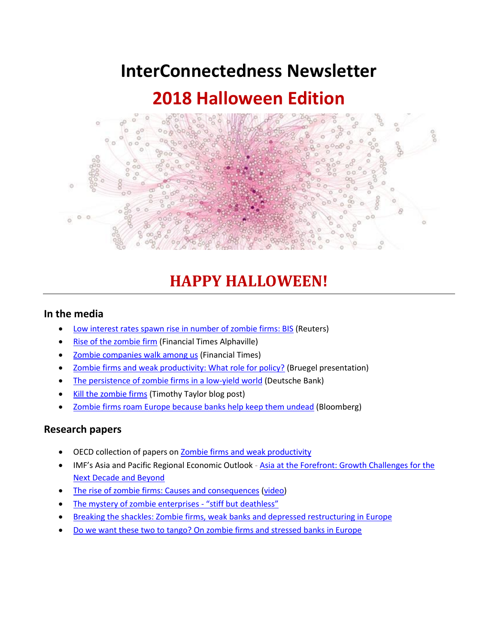# **InterConnectedness Newsletter 2018 Halloween Edition**  $\beta$

## **HAPPY HALLOWEEN!**

#### **In the media**

- [Low interest rates spawn rise in number of zombie firms: BIS](https://www.reuters.com/article/us-bis-markets-zombie/low-interest-rates-spawn-rise-in-number-of-zombie-firms-bis-idUSKCN1M30PC) (Reuters)
- [Rise of the zombie firm](https://ftalphaville.ft.com/2018/03/01/1519899712000/Rise-of-the-zombie-firm/) (Financial Times Alphaville)
- [Zombie companies walk among us](https://www.ft.com/content/40c44992-17c3-11e8-9376-4a6390addb44) (Financial Times)
- [Zombie firms and weak productivity: What role for policy?](https://www.youtube.com/watch?v=A4qBL2TE5fQ) (Bruegel presentation)
- [The persistence of zombie firms in a low-yield world](https://www.db.com/newsroom_news/2018/the-persistence-of-zombie-firms-in-a-low-yield-world-en-11501.htm) (Deutsche Bank)
- [Kill the zombie firms](http://conversableeconomist.blogspot.com/2018/02/kill-zombie-firms.html) (Timothy Taylor blog post)
- [Zombie firms roam Europe because banks help keep them undead](https://www.bloomberg.com/news/articles/2017-11-21/if-zombie-firms-roam-europe-it-s-because-banks-keep-them-undead) (Bloomberg)

#### **Research papers**

- OECD collection of papers on [Zombie firms and weak productivity](http://www.oecd.org/eco/growth/exit-policies-and-productivity-growth.htm)
- IMF's Asia and Pacific Regional Economic Outlook Asia at the Forefront: Growth Challenges for the [Next Decade and Beyond](https://www.imf.org/~/media/Files/Publications/REO/APD/2018/apd-reo-full-text-1018.ashx?la=en)
- [The rise of zombie firms: Causes and consequences](https://www.bis.org/publ/qtrpdf/r_qt1809g.htm) [\(video\)](https://www.youtube.com/watch?v=6gwcr3kWczg)
- [The mystery of zombie enterprises -](https://www.sciencedirect.com/science/article/pii/S1755309117300205) "stiff but deathless"
- [Breaking the shackles: Zombie firms, weak banks and depressed restructuring in Europe](https://ideas.repec.org/p/oec/ecoaaa/1433-en.html)
- Do [we want these two to tango? On zombie firms and stressed banks in Europe](https://www.ecb.europa.eu/pub/pdf/scpwps/ecb.wp2104.en.pdf?0167b3eada64c9757df8e6e0b866b3a1)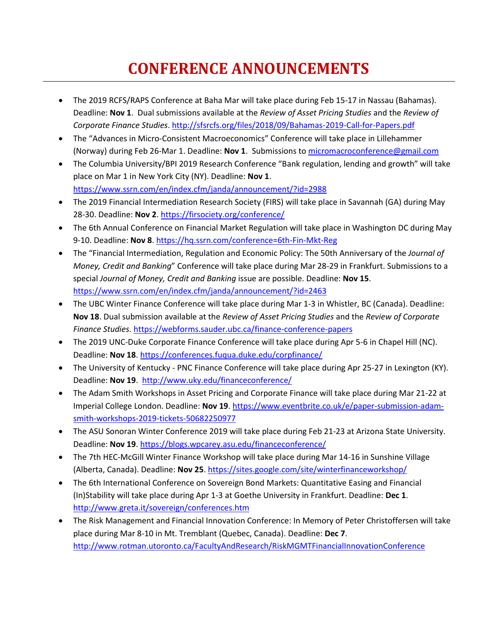## **CONFERENCE ANNOUNCEMENTS**

- The 2019 RCFS/RAPS Conference at Baha Mar will take place during Feb 15-17 in Nassau (Bahamas). Deadline: **Nov 1**. Dual submissions available at the *Review of Asset Pricing Studies* and the *Review of Corporate Finance Studies*[. http://sfsrcfs.org/files/2018/09/Bahamas-2019-Call-for-Papers.pdf](http://sfsrcfs.org/files/2018/09/Bahamas-2019-Call-for-Papers.pdf)
- The "Advances in Micro-Consistent Macroeconomics" Conference will take place in Lillehammer (Norway) during Feb 26-Mar 1. Deadline: **Nov 1**. Submissions to [micromacroconference@gmail.com](mailto:micromacroconference@gmail.com)
- The Columbia University/BPI 2019 Research Conference "Bank regulation, lending and growth" will take place on Mar 1 in New York City (NY). Deadline: **Nov 1**. <https://www.ssrn.com/en/index.cfm/janda/announcement/?id=2988>
- The 2019 Financial Intermediation Research Society (FIRS) will take place in Savannah (GA) during May 28-30. Deadline: **Nov 2**[. https://firsociety.org/conference/](https://firsociety.org/conference/)
- The 6th Annual Conference on Financial Market Regulation will take place in Washington DC during May 9-10. Deadline: **Nov 8**.<https://hq.ssrn.com/conference=6th-Fin-Mkt-Reg>
- The "Financial Intermediation, Regulation and Economic Policy: The 50th Anniversary of the *Journal of Money, Credit and Banking*" Conference will take place during Mar 28-29 in Frankfurt. Submissions to a special *Journal of Money, Credit and Banking* issue are possible. Deadline: **Nov 15**. <https://www.ssrn.com/en/index.cfm/janda/announcement/?id=2463>
- The UBC Winter Finance Conference will take place during Mar 1-3 in Whistler, BC (Canada). Deadline: **Nov 18**. Dual submission available at the *Review of Asset Pricing Studies* and the *Review of Corporate Finance Studies*.<https://webforms.sauder.ubc.ca/finance-conference-papers>
- The 2019 UNC-Duke Corporate Finance Conference will take place during Apr 5-6 in Chapel Hill (NC). Deadline: **Nov 18**.<https://conferences.fuqua.duke.edu/corpfinance/>
- The University of Kentucky PNC Finance Conference will take place during Apr 25-27 in Lexington (KY). Deadline: **Nov 19**. <http://www.uky.edu/financeconference/>
- The Adam Smith Workshops in Asset Pricing and Corporate Finance will take place during Mar 21-22 at Imperial College London. Deadline: **Nov 19**. [https://www.eventbrite.co.uk/e/paper-submission-adam](https://www.eventbrite.co.uk/e/paper-submission-adam-smith-workshops-2019-tickets-50682250977)[smith-workshops-2019-tickets-50682250977](https://www.eventbrite.co.uk/e/paper-submission-adam-smith-workshops-2019-tickets-50682250977)
- The ASU Sonoran Winter Conference 2019 will take place during Feb 21-23 at Arizona State University. Deadline: **Nov 19**.<https://blogs.wpcarey.asu.edu/financeconference/>
- The 7th HEC-McGill Winter Finance Workshop will take place during Mar 14-16 in Sunshine Village (Alberta, Canada). Deadline: **Nov 25**[. https://sites.google.com/site/winterfinanceworkshop/](https://sites.google.com/site/winterfinanceworkshop/)
- The 6th International Conference on Sovereign Bond Markets: Quantitative Easing and Financial (In)Stability will take place during Apr 1-3 at Goethe University in Frankfurt. Deadline: **Dec 1**. <http://www.greta.it/sovereign/conferences.htm>
- The Risk Management and Financial Innovation Conference: In Memory of Peter Christoffersen will take place during Mar 8-10 in Mt. Tremblant (Quebec, Canada). Deadline: **Dec 7**. <http://www.rotman.utoronto.ca/FacultyAndResearch/RiskMGMTFinancialInnovationConference>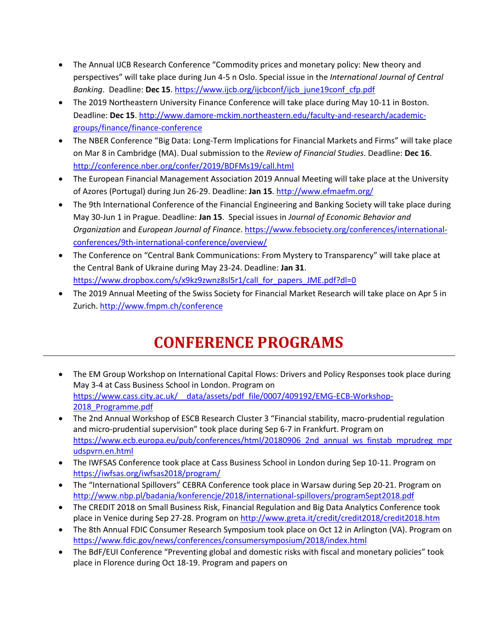- The Annual IJCB Research Conference "Commodity prices and monetary policy: New theory and perspectives" will take place during Jun 4-5 n Oslo. Special issue in the *International Journal of Central Banking*. Deadline: **Dec 15**. [https://www.ijcb.org/ijcbconf/ijcb\\_june19conf\\_cfp.pdf](https://www.ijcb.org/ijcbconf/ijcb_june19conf_cfp.pdf)
- The 2019 Northeastern University Finance Conference will take place during May 10-11 in Boston. Deadline: **Dec 15**. [http://www.damore-mckim.northeastern.edu/faculty-and-research/academic](http://www.damore-mckim.northeastern.edu/faculty-and-research/academic-groups/finance/finance-conference)[groups/finance/finance-conference](http://www.damore-mckim.northeastern.edu/faculty-and-research/academic-groups/finance/finance-conference)
- The NBER Conference "Big Data: Long-Term Implications for Financial Markets and Firms" will take place on Mar 8 in Cambridge (MA). Dual submission to the *Review of Financial Studies*. Deadline: **Dec 16**. <http://conference.nber.org/confer/2019/BDFMs19/call.html>
- The European Financial Management Association 2019 Annual Meeting will take place at the University of Azores (Portugal) during Jun 26-29. Deadline: **Jan 15**.<http://www.efmaefm.org/>
- The 9th International Conference of the Financial Engineering and Banking Society will take place during May 30-Jun 1 in Prague. Deadline: **Jan 15**. Special issues in *Journal of Economic Behavior and Organization* and *European Journal of Finance*. [https://www.febsociety.org/conferences/international](https://www.febsociety.org/conferences/international-conferences/9th-international-conference/overview/)[conferences/9th-international-conference/overview/](https://www.febsociety.org/conferences/international-conferences/9th-international-conference/overview/)
- The Conference on "Central Bank Communications: From Mystery to Transparency" will take place at the Central Bank of Ukraine during May 23-24. Deadline: **Jan 31**. [https://www.dropbox.com/s/x9kz9zwnz8sl5r1/call\\_for\\_papers\\_JME.pdf?dl=0](https://www.dropbox.com/s/x9kz9zwnz8sl5r1/call_for_papers_JME.pdf?dl=0)
- The 2019 Annual Meeting of the Swiss Society for Financial Market Research will take place on Apr 5 in Zurich.<http://www.fmpm.ch/conference>

#### **CONFERENCE PROGRAMS**

- The EM Group Workshop on International Capital Flows: Drivers and Policy Responses took place during May 3-4 at Cass Business School in London. Program on https://www.cass.city.ac.uk/ data/assets/pdf\_file/0007/409192/EMG-ECB-Workshop-2018 Programme.pdf
- The 2nd Annual Workshop of ESCB Research Cluster 3 "Financial stability, macro-prudential regulation and micro-prudential supervision" took place during Sep 6-7 in Frankfurt. Program on https://www.ecb.europa.eu/pub/conferences/html/20180906 2nd annual ws finstab mprudreg mpr [udspvrn.en.html](https://www.ecb.europa.eu/pub/conferences/html/20180906_2nd_annual_ws_finstab_mprudreg_mprudspvrn.en.html)
- The IWFSAS Conference took place at Cass Business School in London during Sep 10-11. Program on <https://iwfsas.org/iwfsas2018/program/>
- The "International Spillovers" CEBRA Conference took place in Warsaw during Sep 20-21. Program on <http://www.nbp.pl/badania/konferencje/2018/international-spillovers/programSept2018.pdf>
- The CREDIT 2018 on Small Business Risk, Financial Regulation and Big Data Analytics Conference took place in Venice during Sep 27-28. Program o[n http://www.greta.it/credit/credit2018/credit2018.htm](http://www.greta.it/credit/credit2018/credit2018.htm)
- The 8th Annual FDIC Consumer Research Symposium took place on Oct 12 in Arlington (VA). Program on <https://www.fdic.gov/news/conferences/consumersymposium/2018/index.html>
- The BdF/EUI Conference "Preventing global and domestic risks with fiscal and monetary policies" took place in Florence during Oct 18-19. Program and papers on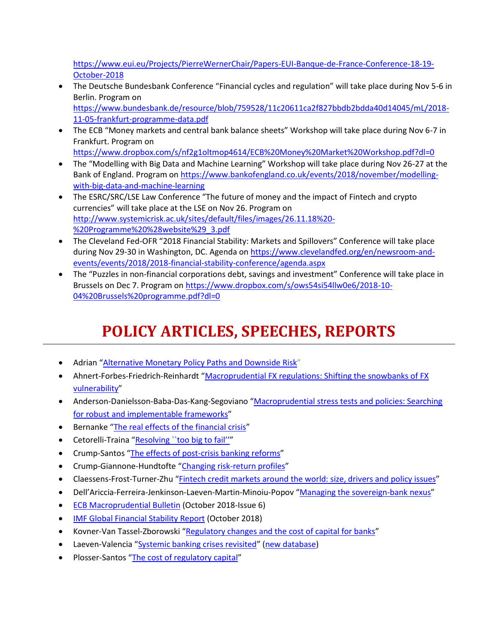[https://www.eui.eu/Projects/PierreWernerChair/Papers-EUI-Banque-de-France-Conference-18-19-](https://www.eui.eu/Projects/PierreWernerChair/Papers-EUI-Banque-de-France-Conference-18-19-October-2018) [October-2018](https://www.eui.eu/Projects/PierreWernerChair/Papers-EUI-Banque-de-France-Conference-18-19-October-2018)

- The Deutsche Bundesbank Conference "Financial cycles and regulation" will take place during Nov 5-6 in Berlin. Program on [https://www.bundesbank.de/resource/blob/759528/11c20611ca2f827bbdb2bdda40d14045/mL/2018-](https://www.bundesbank.de/resource/blob/759528/11c20611ca2f827bbdb2bdda40d14045/mL/2018-11-05-frankfurt-programme-data.pdf) [11-05-frankfurt-programme-data.pdf](https://www.bundesbank.de/resource/blob/759528/11c20611ca2f827bbdb2bdda40d14045/mL/2018-11-05-frankfurt-programme-data.pdf)
- The ECB "Money markets and central bank balance sheets" Workshop will take place during Nov 6-7 in Frankfurt. Program on

<https://www.dropbox.com/s/nf2g1oltmop4614/ECB%20Money%20Market%20Workshop.pdf?dl=0>

- The "Modelling with Big Data and Machine Learning" Workshop will take place during Nov 26-27 at the Bank of England. Program on [https://www.bankofengland.co.uk/events/2018/november/modelling](https://www.bankofengland.co.uk/events/2018/november/modelling-with-big-data-and-machine-learning)[with-big-data-and-machine-learning](https://www.bankofengland.co.uk/events/2018/november/modelling-with-big-data-and-machine-learning)
- The ESRC/SRC/LSE Law Conference "The future of money and the impact of Fintech and crypto currencies" will take place at the LSE on Nov 26. Program on [http://www.systemicrisk.ac.uk/sites/default/files/images/26.11.18%20-](http://www.systemicrisk.ac.uk/sites/default/files/images/26.11.18%20-%20Programme%20%28website%29_3.pdf) [%20Programme%20%28website%29\\_3.pdf](http://www.systemicrisk.ac.uk/sites/default/files/images/26.11.18%20-%20Programme%20%28website%29_3.pdf)
- The Cleveland Fed-OFR "2018 Financial Stability: Markets and Spillovers" Conference will take place during Nov 29-30 in Washington, DC. Agenda on [https://www.clevelandfed.org/en/newsroom-and](https://www.clevelandfed.org/en/newsroom-and-events/events/2018/2018-financial-stability-conference/agenda.aspx)[events/events/2018/2018-financial-stability-conference/agenda.aspx](https://www.clevelandfed.org/en/newsroom-and-events/events/2018/2018-financial-stability-conference/agenda.aspx)
- The "Puzzles in non-financial corporations debt, savings and investment" Conference will take place in Brussels on Dec 7. Program on [https://www.dropbox.com/s/ows54si54llw0e6/2018-10-](https://www.dropbox.com/s/ows54si54llw0e6/2018-10-04%20Brussels%20programme.pdf?dl=0) [04%20Brussels%20programme.pdf?dl=0](https://www.dropbox.com/s/ows54si54llw0e6/2018-10-04%20Brussels%20programme.pdf?dl=0)

## **POLICY ARTICLES, SPEECHES, REPORTS**

- Adrian "[Alternative Monetary Policy Paths and Downside Risk](https://www.imf.org/en/News/Articles/2018/10/29/sp102918-alternative-monetary-policy-paths-and-downside-risk)"
- Ahnert-Forbes-Friedrich-Reinhardt "Macroprudential FX regulations: Shifting the snowbanks of FX [vulnerability](http://www.nber.org/papers/w25083)"
- Anderson-Danielsson-Baba-Das-Kang-Segoviano "Macroprudential stress tests and policies: Searching [for robust and implementable frameworks](http://www.imf.org/en/Publications/WP/Issues/2018/09/11/Macroprudential-Stress-Tests-and-Policies-Searching-for-Robust-and-Implementable-Frameworks-46218)"
- Bernanke "[The real effects of the financial crisis](https://www.brookings.edu/wp-content/uploads/2018/09/BPEA_Fall2018_The-real-effects-of-the-financial-crisis.pdf)"
- Cetorelli-Traina "Reso[lving ``too big to fail''"](http://libertystreeteconomics.newyorkfed.org/2018/10/resolving-too-big-to-fail.html)
- Crump-Santos "[The effects of post-crisis banking reforms](http://libertystreeteconomics.newyorkfed.org/2018/10/the-effects-of-post-crisis-banking-reforms.html)"
- Crump-Giannone-Hundtofte "[Changing risk-return profiles](http://libertystreeteconomics.newyorkfed.org/2018/10/changing-risk-return-profiles.html)"
- Claessens-Frost-Turner-Zhu "[Fintech credit markets around the world: size, drivers and policy issues](https://www.bis.org/publ/qtrpdf/r_qt1809e.pdf)"
- Dell'Ariccia-Ferreira-Jenkinson-Laeven-Martin-Minoiu-Popov "[Managing the sovereign-bank nexus](https://www.imf.org/en/Publications/Departmental-Papers-Policy-Papers/Issues/2018/09/14/Managing-the-Sovereign-Bank-Nexus-45133)"
- [ECB Macroprudential Bulletin](https://www.ecb.europa.eu/pub/macroprudential-bulletin/html/index.en.html) (October 2018-Issue 6)
- **[IMF Global Financial Stability Report](https://www.imf.org/en/Publications/GFSR/Issues/2018/09/25/Global-Financial-Stability-Report-October-2018) (October 2018)**
- Kovner-Van Tassel-Zborowski "[Regulatory changes and the cost of capital for banks](http://libertystreeteconomics.newyorkfed.org/2018/10/regulatory-changes-and-the-cost-of-capital-for-banks.html)"
- Laeven-Valencia "[Systemic banking crises revisited](https://www.imf.org/en/Publications/WP/Issues/2018/09/14/Systemic-Banking-Crises-Revisited-46232)" ([new database\)](https://www.imf.org/~/media/Files/Publications/WP/2018/datasets/wp18206.ashx)
- Plosser-Santos "[The cost of regulatory capital](http://libertystreeteconomics.newyorkfed.org/2018/10/the-cost-of-regulatory-capital.html)"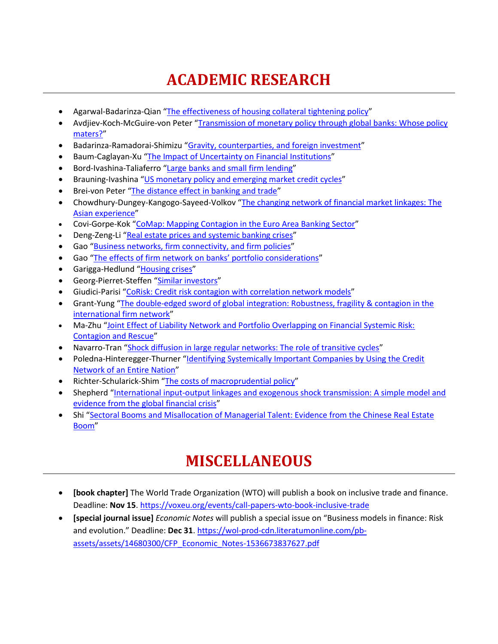## **ACADEMIC RESEARCH**

- Agarwal-Badarinza-Qian "[The effectiveness of housing collateral tightening policy](https://papers.ssrn.com/sol3/papers.cfm?abstract_id=2917308)"
- Avdjiev-Koch-McGuire-von Peter "[Transmission of monetary policy through global banks: Whose policy](https://www.bis.org/publ/work737.htm)  [maters?](https://www.bis.org/publ/work737.htm)"
- Badarinza-Ramadorai-Shimizu "[Gravity, counterparties, and foreign investment](https://papers.ssrn.com/sol3/papers.cfm?abstract_id=3141255)"
- Baum-Caglayan-Xu "[The Impact of Uncertainty on Financial Institutions](https://www.bc.edu/content/dam/bc1/schools/mcas/economics/pdf/working-papers/wp939-9-18.pdf)"
- Bord-Ivashina-Taliaferro "[Large banks and small](https://www.nber.org/papers/w25184) firm lending"
- Brauning-Ivashina "[US monetary policy and emerging market credit cycles](https://www.nber.org/papers/w25185)"
- Brei-von Peter "[The distance effect in banking and trade](https://www.sciencedirect.com/science/article/pii/S0261560617302000?via%3Dihub)"
- Chowdhury-Dungey-Kangogo-Sayeed-Volkov "[The changing network of financial market linkages:](https://www.adb.org/sites/default/files/publication/453016/ewp-558-financial-market-linkages-asian-experience.pdf) The [Asian experience](https://www.adb.org/sites/default/files/publication/453016/ewp-558-financial-market-linkages-asian-experience.pdf)"
- Covi-Gorpe-Kok "[CoMap: Mapping Contagion in the Euro Area Banking Sector](https://www.researchgate.net/publication/328020946_CoMap_Mapping_Contagion_in_the_Euro_Area_Banking_Sector)"
- Deng-Zeng-Li "[Real estate prices and systemic banking crises](https://www.sciencedirect.com/science/article/pii/S0264999317318278)"
- Gao "[Business networks, firm connectivity, and firm policies](https://papers.ssrn.com/sol3/papers.cfm?abstract_id=2483546)"
- Gao ["The effects of firm network on banks' portfolio considerations"](https://papers.ssrn.com/sol3/papers.cfm?abstract_id=2829988)
- Garigga-Hedlund "[Housing crises](https://faculty.missouri.edu/~hedlunda/research/manuscript_housingcrises.pdf)"
- Georg-Pierret-Steffen "[Similar investors](https://papers.ssrn.com/sol3/papers.cfm?abstract_id=3250826)"
- Giudici-Parisi "[CoRisk: Credit risk contagion with correlation network models](https://www.mdpi.com/2227-9091/6/3/95)"
- Grant-Yung "[The double-edged sword of global integration: Robustness, fragility & contagion in the](https://papers.ssrn.com/sol3/papers.cfm?abstract_id=2978557)  [international firm network](https://papers.ssrn.com/sol3/papers.cfm?abstract_id=2978557)"
- Ma-Zhu "[Joint Effect of Liability Network and Portfolio Overlapping on Financial Systemic Risk:](https://www.researchgate.net/profile/S_S_Zhu/publication/328199522_Joint_Effect_of_Liability_Network_and_Portfolio_Overlapping_on_Financial_Systemic_Risk_Contagion_and_Rescue/links/5bbe229d45851572315ead11/Joint-Effect-of-Liability-Network-and-Portfolio-Overlapping-on-Financial-Systemic-Risk-Contagion-and-Rescue.pdf)  [Contagion and Rescue](https://www.researchgate.net/profile/S_S_Zhu/publication/328199522_Joint_Effect_of_Liability_Network_and_Portfolio_Overlapping_on_Financial_Systemic_Risk_Contagion_and_Rescue/links/5bbe229d45851572315ead11/Joint-Effect-of-Liability-Network-and-Portfolio-Overlapping-on-Financial-Systemic-Risk-Contagion-and-Rescue.pdf)"
- Navarro-Tran "[Shock diffusion in large regular networks: The role of transitive cycles](https://iwfsas.org/iwfsas2018/wp-content/uploads/2018/08/64-Transitive-cycles-March2018.pdf)"
- Poledna-Hinteregger-Thurner "Identifying Systemically Important Companies by Using the Credit [Network of an Entire Nation](https://www.mdpi.com/1099-4300/20/10/792)"
- Richter-Schularick-Shim "[The costs of macroprudential policy](http://www.nber.org/papers/w24989)"
- Shepherd "International input-output linkages and exogenous shock transmission: A simple model and [evidence from the global financial crisis](https://developing-trade.com/wp-content/uploads/2018/10/DTC-Article-Chapter-2018-1.pdf)"
- Shi "[Sectoral Booms and Misallocation of Managerial Talent: Evidence from the Chinese Real Estate](https://www.imf.org/en/Publications/WP/Issues/2018/09/28/Sectoral-Booms-and-Misallocation-of-Managerial-Talent-Evidence-from-the-Chinese-Real-Estate-46277)  [Boom](https://www.imf.org/en/Publications/WP/Issues/2018/09/28/Sectoral-Booms-and-Misallocation-of-Managerial-Talent-Evidence-from-the-Chinese-Real-Estate-46277)"

#### **MISCELLANEOUS**

- **[book chapter]** The World Trade Organization (WTO) will publish a book on inclusive trade and finance. Deadline: **Nov 15**.<https://voxeu.org/events/call-papers-wto-book-inclusive-trade>
- **[special journal issue]** *Economic Notes* will publish a special issue on "Business models in finance: Risk and evolution." Deadline: **Dec 31**[. https://wol-prod-cdn.literatumonline.com/pb](https://wol-prod-cdn.literatumonline.com/pb-assets/assets/14680300/CFP_Economic_Notes-1536673837627.pdf)[assets/assets/14680300/CFP\\_Economic\\_Notes-1536673837627.pdf](https://wol-prod-cdn.literatumonline.com/pb-assets/assets/14680300/CFP_Economic_Notes-1536673837627.pdf)